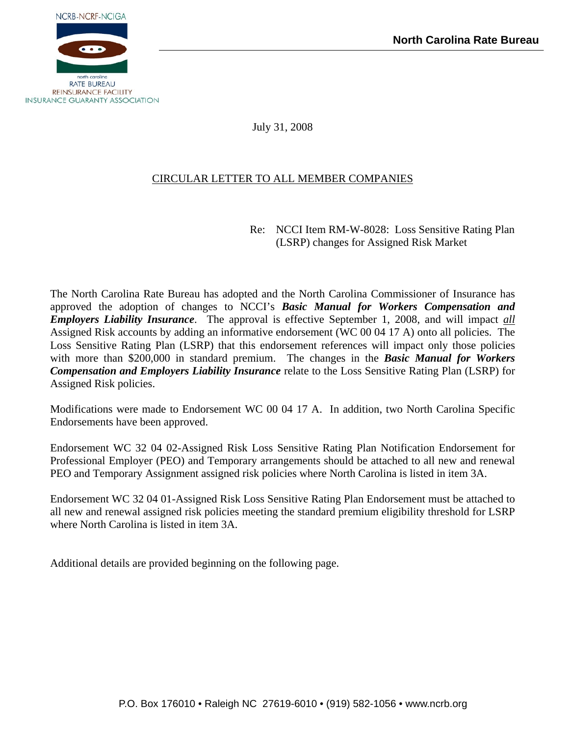

July 31, 2008

# CIRCULAR LETTER TO ALL MEMBER COMPANIES

Re: NCCI Item RM-W-8028: Loss Sensitive Rating Plan (LSRP) changes for Assigned Risk Market

The North Carolina Rate Bureau has adopted and the North Carolina Commissioner of Insurance has approved the adoption of changes to NCCI's *Basic Manual for Workers Compensation and Employers Liability Insurance*. The approval is effective September 1, 2008, and will impact *all* Assigned Risk accounts by adding an informative endorsement (WC 00 04 17 A) onto all policies. The Loss Sensitive Rating Plan (LSRP) that this endorsement references will impact only those policies with more than \$200,000 in standard premium. The changes in the *Basic Manual for Workers Compensation and Employers Liability Insurance* relate to the Loss Sensitive Rating Plan (LSRP) for Assigned Risk policies.

Modifications were made to Endorsement WC 00 04 17 A. In addition, two North Carolina Specific Endorsements have been approved.

Endorsement WC 32 04 02-Assigned Risk Loss Sensitive Rating Plan Notification Endorsement for Professional Employer (PEO) and Temporary arrangements should be attached to all new and renewal PEO and Temporary Assignment assigned risk policies where North Carolina is listed in item 3A.

Endorsement WC 32 04 01-Assigned Risk Loss Sensitive Rating Plan Endorsement must be attached to all new and renewal assigned risk policies meeting the standard premium eligibility threshold for LSRP where North Carolina is listed in item 3A.

Additional details are provided beginning on the following page.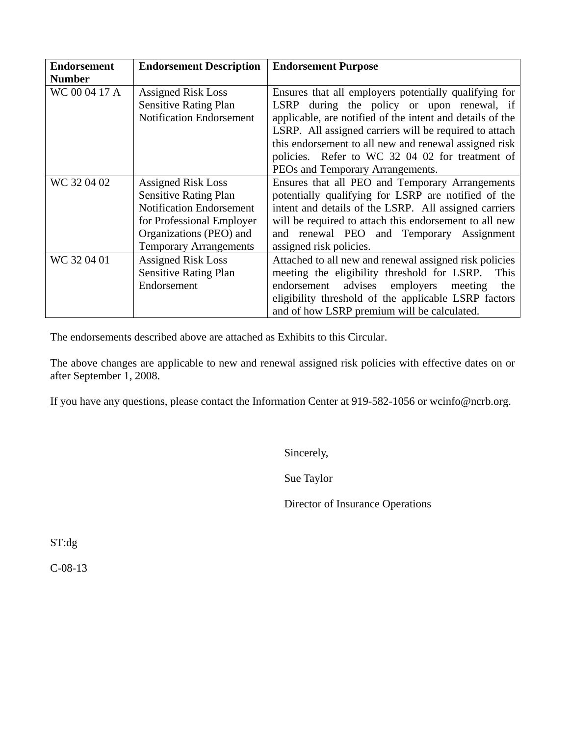| <b>Endorsement</b> | <b>Endorsement Description</b>  | <b>Endorsement Purpose</b>                                |  |  |
|--------------------|---------------------------------|-----------------------------------------------------------|--|--|
| <b>Number</b>      |                                 |                                                           |  |  |
| WC 00 04 17 A      | <b>Assigned Risk Loss</b>       | Ensures that all employers potentially qualifying for     |  |  |
|                    | <b>Sensitive Rating Plan</b>    | LSRP during the policy or upon renewal, if                |  |  |
|                    | <b>Notification Endorsement</b> | applicable, are notified of the intent and details of the |  |  |
|                    |                                 | LSRP. All assigned carriers will be required to attach    |  |  |
|                    |                                 | this endorsement to all new and renewal assigned risk     |  |  |
|                    |                                 | policies. Refer to WC 32 04 02 for treatment of           |  |  |
|                    |                                 | PEOs and Temporary Arrangements.                          |  |  |
| WC 32 04 02        | <b>Assigned Risk Loss</b>       | Ensures that all PEO and Temporary Arrangements           |  |  |
|                    | <b>Sensitive Rating Plan</b>    | potentially qualifying for LSRP are notified of the       |  |  |
|                    | <b>Notification Endorsement</b> | intent and details of the LSRP. All assigned carriers     |  |  |
|                    | for Professional Employer       | will be required to attach this endorsement to all new    |  |  |
|                    | Organizations (PEO) and         | and renewal PEO and Temporary Assignment                  |  |  |
|                    | <b>Temporary Arrangements</b>   | assigned risk policies.                                   |  |  |
| WC 32 04 01        | <b>Assigned Risk Loss</b>       | Attached to all new and renewal assigned risk policies    |  |  |
|                    | <b>Sensitive Rating Plan</b>    | meeting the eligibility threshold for LSRP.<br>This       |  |  |
|                    | Endorsement                     | endorsement advises employers<br>meeting<br>the           |  |  |
|                    |                                 | eligibility threshold of the applicable LSRP factors      |  |  |
|                    |                                 | and of how LSRP premium will be calculated.               |  |  |

The endorsements described above are attached as Exhibits to this Circular.

The above changes are applicable to new and renewal assigned risk policies with effective dates on or after September 1, 2008.

If you have any questions, please contact the Information Center at 919-582-1056 or wcinfo@ncrb.org.

Sincerely,

Sue Taylor

Director of Insurance Operations

ST:dg

C-08-13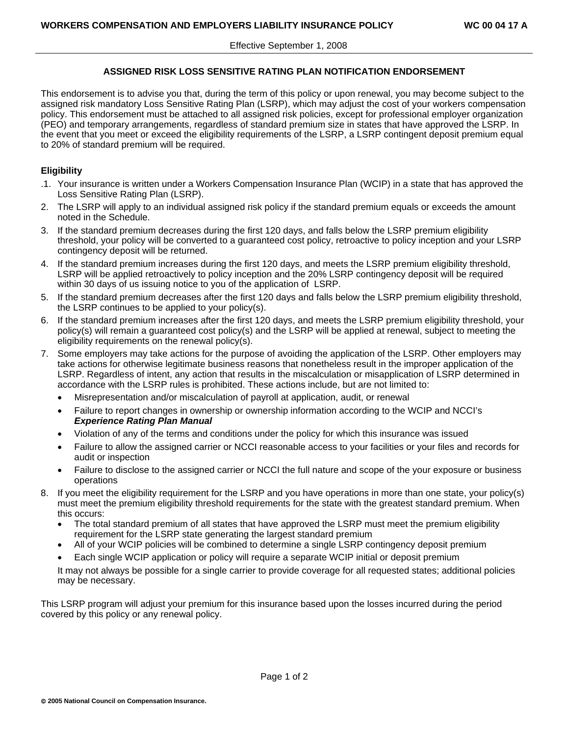# **ASSIGNED RISK LOSS SENSITIVE RATING PLAN NOTIFICATION ENDORSEMENT**

This endorsement is to advise you that, during the term of this policy or upon renewal, you may become subject to the assigned risk mandatory Loss Sensitive Rating Plan (LSRP), which may adjust the cost of your workers compensation policy. This endorsement must be attached to all assigned risk policies, except for professional employer organization (PEO) and temporary arrangements, regardless of standard premium size in states that have approved the LSRP. In the event that you meet or exceed the eligibility requirements of the LSRP, a LSRP contingent deposit premium equal to 20% of standard premium will be required.

# **Eligibility**

- .1. Your insurance is written under a Workers Compensation Insurance Plan (WCIP) in a state that has approved the Loss Sensitive Rating Plan (LSRP).
- 2. The LSRP will apply to an individual assigned risk policy if the standard premium equals or exceeds the amount noted in the Schedule.
- 3. If the standard premium decreases during the first 120 days, and falls below the LSRP premium eligibility threshold, your policy will be converted to a guaranteed cost policy, retroactive to policy inception and your LSRP contingency deposit will be returned.
- 4. If the standard premium increases during the first 120 days, and meets the LSRP premium eligibility threshold, LSRP will be applied retroactively to policy inception and the 20% LSRP contingency deposit will be required within 30 days of us issuing notice to you of the application of LSRP.
- 5. If the standard premium decreases after the first 120 days and falls below the LSRP premium eligibility threshold, the LSRP continues to be applied to your policy(s).
- 6. If the standard premium increases after the first 120 days, and meets the LSRP premium eligibility threshold, your policy(s) will remain a guaranteed cost policy(s) and the LSRP will be applied at renewal, subject to meeting the eligibility requirements on the renewal policy(s).
- 7. Some employers may take actions for the purpose of avoiding the application of the LSRP. Other employers may take actions for otherwise legitimate business reasons that nonetheless result in the improper application of the LSRP. Regardless of intent, any action that results in the miscalculation or misapplication of LSRP determined in accordance with the LSRP rules is prohibited. These actions include, but are not limited to:
	- Misrepresentation and/or miscalculation of payroll at application, audit, or renewal
	- Failure to report changes in ownership or ownership information according to the WCIP and NCCI's *Experience Rating Plan Manual*
	- Violation of any of the terms and conditions under the policy for which this insurance was issued
	- Failure to allow the assigned carrier or NCCI reasonable access to your facilities or your files and records for audit or inspection
	- Failure to disclose to the assigned carrier or NCCI the full nature and scope of the your exposure or business operations
- 8. If you meet the eligibility requirement for the LSRP and you have operations in more than one state, your policy(s) must meet the premium eligibility threshold requirements for the state with the greatest standard premium. When this occurs:
	- The total standard premium of all states that have approved the LSRP must meet the premium eligibility requirement for the LSRP state generating the largest standard premium
	- All of your WCIP policies will be combined to determine a single LSRP contingency deposit premium
	- Each single WCIP application or policy will require a separate WCIP initial or deposit premium

 It may not always be possible for a single carrier to provide coverage for all requested states; additional policies may be necessary.

This LSRP program will adjust your premium for this insurance based upon the losses incurred during the period covered by this policy or any renewal policy.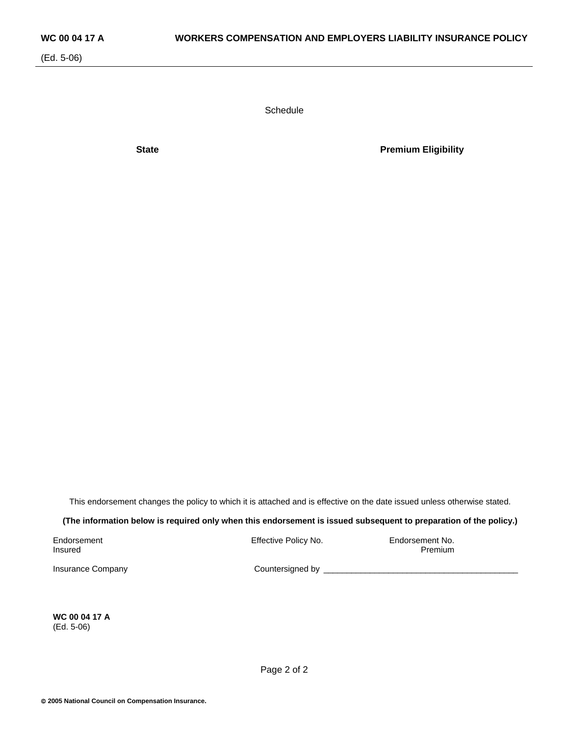**Schedule** 

**State Premium Eligibility** 

This endorsement changes the policy to which it is attached and is effective on the date issued unless otherwise stated.

**(The information below is required only when this endorsement is issued subsequent to preparation of the policy.)** 

Endorsement Effective Policy No. Endorsement No.

Insured Premium

Insurance Company extending the countersigned by  $\Box$ 

**WC 00 04 17 A**  (Ed. 5-06)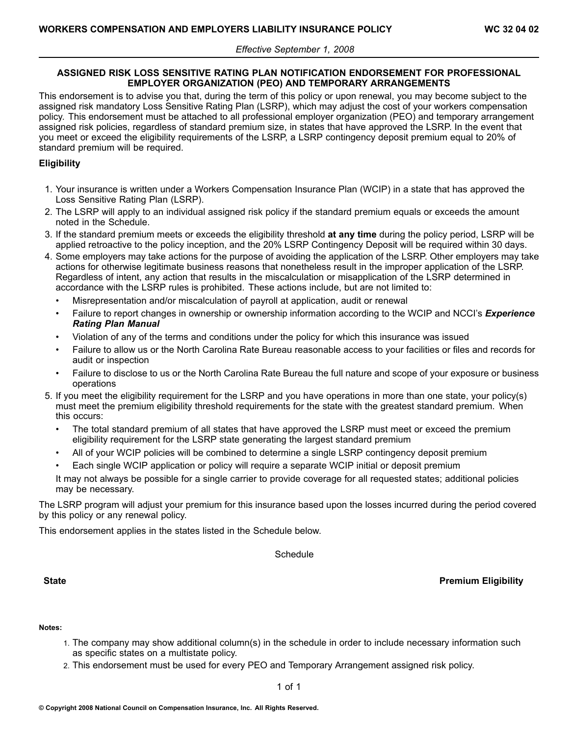## **ASSIGNED RISK LOSS SENSITIVE RATING PLAN NOTIFICATION ENDORSEMENT FOR PROFESSIONAL EMPLOYER ORGANIZATION (PEO) AND TEMPORARY ARRANGEMENTS**

This endorsement is to advise you that, during the term of this policy or upon renewal, you may become subject to the assigned risk mandatory Loss Sensitive Rating Plan (LSRP), which may adjust the cost of your workers compensation policy. This endorsement must be attached to all professional employer organization (PEO) and temporary arrangement assigned risk policies, regardless of standard premium size, in states that have approved the LSRP. In the event that you meet or exceed the eligibility requirements of the LSRP, <sup>a</sup> LSRP contingency deposit premium equal to 20% of standard premium will be required.

# **Eligibility**

- 1. Your insurance is written under <sup>a</sup> Workers Compensation Insurance Plan (WCIP) in <sup>a</sup> state that has approved the Loss Sensitive Rating Plan (LSRP).
- 2. The LSRP will apply to an individual assigned risk policy if the standard premium equals or exceeds the amount noted in the Schedule.
- 3. If the standard premium meets or exceeds the eligibility threshold **at any time** during the policy period, LSRP will be applied retroactive to the policy inception, and the 20% LSRP Contingency Deposit will be required within <sup>30</sup> days.
- 4. Some employers may take actions for the purpose of avoiding the application of the LSRP. Other employers may take actions for otherwise legitimate business reasons that nonetheless result in the improper application of the LSRP. Regardless of intent, any action that results in the miscalculation or misapplication of the LSRP determined in accordance with the LSRP rules is prohibited. These actions include, but are not limited to:
	- •Misrepresentation and/or miscalculation of payroll at application, audit or renewal
	- • Failure to report changes in ownership or ownership information according to the WCIP and NCCI's *Experience Rating Plan Manual*
	- •Violation of any of the terms and conditions under the policy for which this insurance was issued
	- • Failure to allow us or the North Carolina Rate Bureau reasonable access to your facilities or files and records for audit or inspection
	- • Failure to disclose to us or the North Carolina Rate Bureau the full nature and scope of your exposure or business operations
- 5. If you meet the eligibility requirement for the LSRP and you have operations in more than one state, your policy(s) must meet the premium eligibility threshold requirements for the state with the greatest standard premium. When this occurs:
	- • The total standard premium of all states that have approved the LSRP must meet or exceed the premium eligibility requirement for the LSRP state generating the largest standard premium
	- •All of your WCIP policies will be combined to determine <sup>a</sup> single LSRP contingency deposit premium
	- •Each single WCIP application or policy will require <sup>a</sup> separate WCIP initial or deposit premium

It may not always be possible for <sup>a</sup> single carrier to provide coverage for all requested states; additional policies may be necessary.

The LSRP program will adjust your premium for this insurance based upon the losses incurred during the period covered by this policy or any renewal policy.

This endorsement applies in the states listed in the Schedule below.

Schedule

# **State Premium Eligibility**

#### **Notes:**

- 1. The company may show additional column(s) in the schedule in order to include necessary information such as specific states on <sup>a</sup> multistate policy.
- 2. This endorsement must be used for every PEO and Temporary Arrangement assigned risk policy.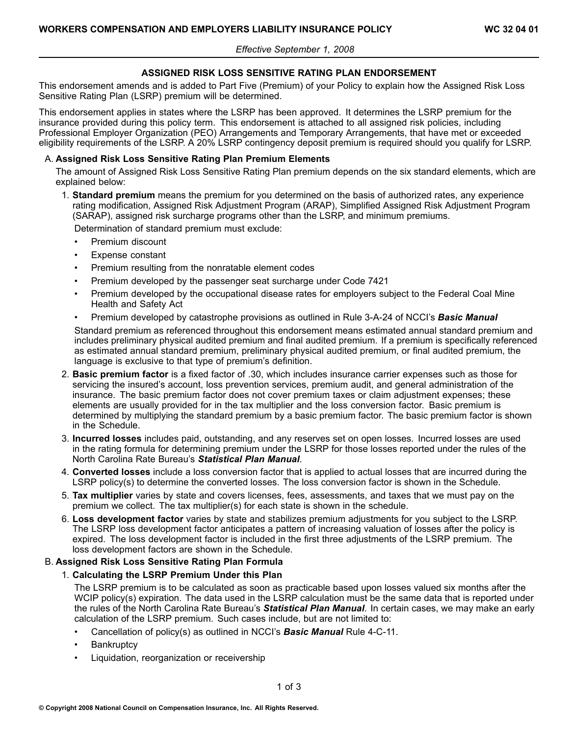# **ASSIGNED RISK LOSS SENSITIVE RATING PLAN ENDORSEMENT**

This endorsement amends and is added to Part Five (Premium) of your Policy to explain how the Assigned Risk Loss Sensitive Rating Plan (LSRP) premium will be determined.

This endorsement applies in states where the LSRP has been approved. It determines the LSRP premium for the insurance provided during this policy term. This endorsement is attached to all assigned risk policies, including Professional Employer Organization (PEO) Arrangements and Temporary Arrangements, that have met or exceeded eligibility requirements of the LSRP. <sup>A</sup> 20% LSRP contingency deposit premium is required should you qualify for LSRP.

# A. **Assigned Risk Loss Sensitive Rating Plan Premium Elements**

The amount of Assigned Risk Loss Sensitive Rating Plan premium depends on the six standard elements, which are explained below:

1. **Standard premium** means the premium for you determined on the basis of authorized rates, any experience rating modification, Assigned Risk Adjustment Program (ARAP), Simplified Assigned Risk Adjustment Program (SARAP), assigned risk surcharge programs other than the LSRP, and minimum premiums.

Determination of standard premium must exclude:

- •Premium discount
- •Expense constant
- •Premium resulting from the nonratable element codes
- •Premium developed by the passenger seat surcharge under Code <sup>7421</sup>
- • Premium developed by the occupational disease rates for employers subject to the Federal Coal Mine Health and Safety Act
- •Premium developed by catastrophe provisions as outlined in Rule 3-A-24 of NCCI's **Basic Manual**

Standard premium as referenced throughout this endorsement means estimated annual standard premium and includes preliminary physical audited premium and final audited premium. If <sup>a</sup> premium is specifically referenced as estimated annual standard premium, preliminary physical audited premium, or final audited premium, the language is exclusive to that type of premium's definition.

- 2. **Basic premium factor** is <sup>a</sup> fixed factor of .30, which includes insurance carrier expenses such as those for servicing the insured's account, loss prevention services, premium audit, and general administration of the insurance. The basic premium factor does not cover premium taxes or claim adjustment expenses; these elements are usually provided for in the tax multiplier and the loss conversion factor. Basic premium is determined by multiplying the standard premium by <sup>a</sup> basic premium factor. The basic premium factor is shown in the Schedule.
- 3. **Incurred losses** includes paid, outstanding, and any reserves set on open losses. Incurred losses are used in the rating formula for determining premium under the LSRP for those losses reported under the rules of the North Carolina Rate Bureau's *Statistical Plan Manual*.
- 4. **Converted losses** include <sup>a</sup> loss conversion factor that is applied to actual losses that are incurred during the LSRP policy(s) to determine the converted losses. The loss conversion factor is shown in the Schedule.
- 5. **Tax multiplier** varies by state and covers licenses, fees, assessments, and taxes that we must pay on the premium we collect. The tax multiplier(s) for each state is shown in the schedule.
- 6. **Loss development factor** varies by state and stabilizes premium adjustments for you subject to the LSRP. The LSRP loss development factor anticipates <sup>a</sup> pattern of increasing valuation of losses after the policy is expired. The loss development factor is included in the first three adjustments of the LSRP premium. The loss development factors are shown in the Schedule.

## B. **Assigned Risk Loss Sensitive Rating Plan Formula**

## 1. **Calculating the LSRP Premium Under this Plan**

The LSRP premium is to be calculated as soon as practicable based upon losses valued six months after the WCIP policy(s) expiration. The data used in the LSRP calculation must be the same data that is reported under the rules of the North Carolina Rate Bureau's *Statistical Plan Manual*. In certain cases, we may make an early calculation of the LSRP premium. Such cases include, but are not limited to:

- •Cancellation of policy(s) as outlined in NCCI's *Basic Manual* Rule 4C11.
- •**Bankruptcy**
- •Liquidation, reorganization or receivership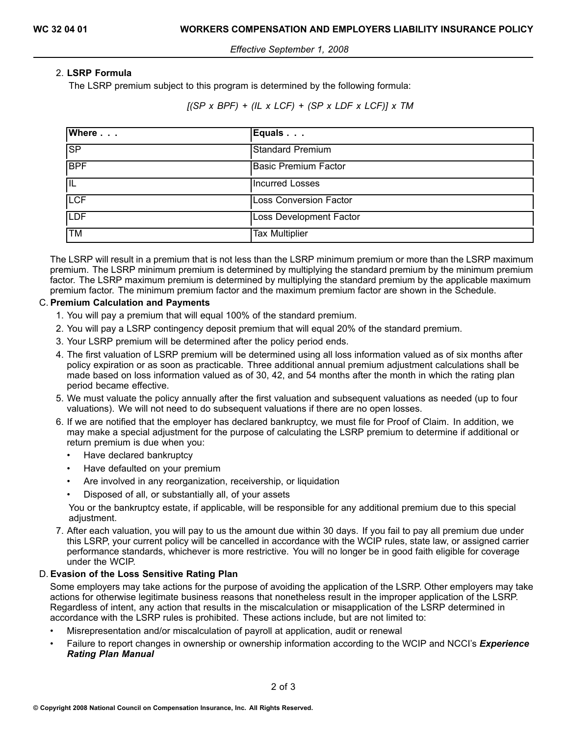# 2. **LSRP Formula**

The LSRP premium subject to this program is determined by the following formula:

 $[(SP \times BPF) + (IL \times LCF) + (SP \times LDF \times LCF)] \times TM$ 

| Where      | Equals                        |
|------------|-------------------------------|
| <b>SP</b>  | <b>Standard Premium</b>       |
| <b>BPF</b> | <b>Basic Premium Factor</b>   |
| IIL        | <b>Incurred Losses</b>        |
| <b>LCF</b> | <b>Loss Conversion Factor</b> |
| <b>LDF</b> | Loss Development Factor       |
| <b>TM</b>  | <b>Tax Multiplier</b>         |

The LSRP will result in <sup>a</sup> premium that is not less than the LSRP minimum premium or more than the LSRP maximum premium. The LSRP minimum premium is determined by multiplying the standard premium by the minimum premium factor. The LSRP maximum premium is determined by multiplying the standard premium by the applicable maximum premium factor. The minimum premium factor and the maximum premium factor are shown in the Schedule.

# C. **Premium Calculation and Payments**

- 1. You will pay <sup>a</sup> premium that will equal 100% of the standard premium.
- 2. You will pay <sup>a</sup> LSRP contingency deposit premium that will equal 20% of the standard premium.
- 3. Your LSRP premium will be determined after the policy period ends.
- 4. The first valuation of LSRP premium will be determined using all loss information valued as of six months after policy expiration or as soon as practicable. Three additional annual premium adjustment calculations shall be made based on loss information valued as of 30, 42, and <sup>54</sup> months after the month in which the rating plan period became effective.
- 5. We must valuate the policy annually after the first valuation and subsequent valuations as needed (up to four valuations). We will not need to do subsequent valuations if there are no open losses.
- 6. If we are notified that the employer has declared bankruptcy, we must file for Proof of Claim. In addition, we may make <sup>a</sup> special adjustment for the purpose of calculating the LSRP premium to determine if additional or return premium is due when you:
	- •Have declared bankruptcy
	- •Have defaulted on your premium
	- •Are involved in any reorganization, receivership, or liquidation
	- •Disposed of all, or substantially all, of your assets

You or the bankruptcy estate, if applicable, will be responsible for any additional premium due to this special adjustment.

7. After each valuation, you will pay to us the amount due within <sup>30</sup> days. If you fail to pay all premium due under this LSRP, your current policy will be cancelled in accordance with the WCIP rules, state law, or assigned carrier performance standards, whichever is more restrictive. You will no longer be in good faith eligible for coverage under the WCIP.

## D. **Evasion of the Loss Sensitive Rating Plan**

Some employers may take actions for the purpose of avoiding the application of the LSRP. Other employers may take actions for otherwise legitimate business reasons that nonetheless result in the improper application of the LSRP. Regardless of intent, any action that results in the miscalculation or misapplication of the LSRP determined in accordance with the LSRP rules is prohibited. These actions include, but are not limited to:

- •Misrepresentation and/or miscalculation of payroll at application, audit or renewal
- • Failure to report changes in ownership or ownership information according to the WCIP and NCCI's *Experience Rating Plan Manual*